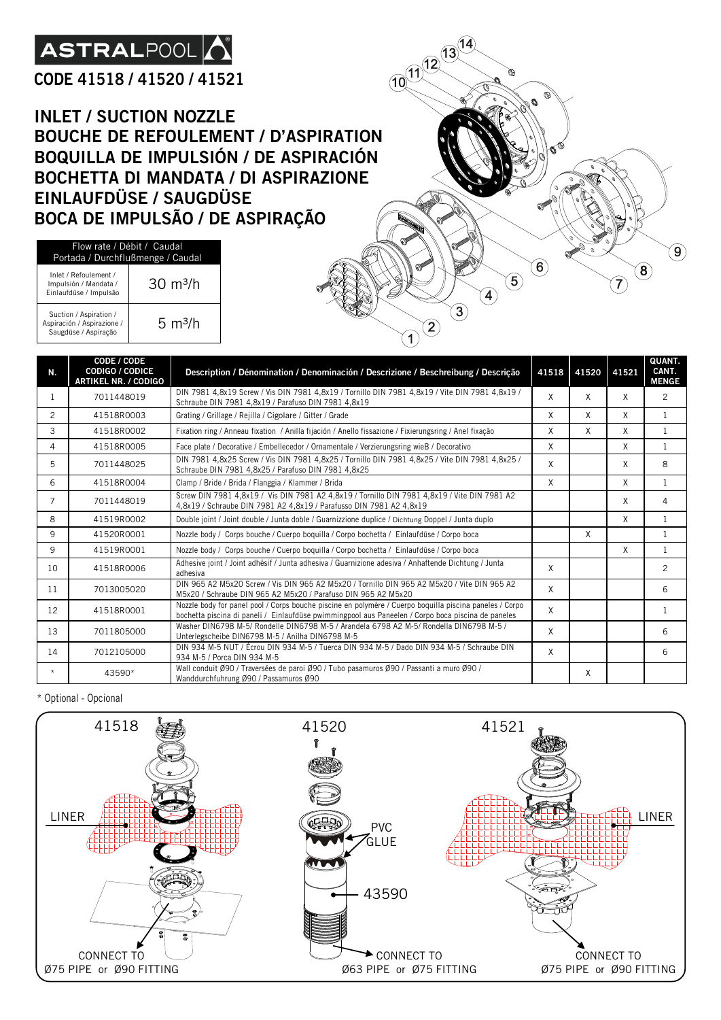# **ASTRALPOOL**

#### **CODE 41518 / 41520 / 41521**

**INLET / SUCTION NOZZLE BOUCHE DE REFOULEMENT / D'ASPIRATION BOQUILLA DE IMPULSIÓN / DE ASPIRACIÓN BOCHETTA DI MANDATA / DI ASPIRAZIONE EINLAUFDÜSE / SAUGDÜSE BOCA DE IMPULSÃO / DE ASPIRAÇÃO**

| Flow rate / Débit / Caudal<br>Portada / Durchflußmenge / Caudal              |                     |  |  |
|------------------------------------------------------------------------------|---------------------|--|--|
| Inlet / Refoulement /<br>Impulsión / Mandata /<br>Einlaufdüse / Impulsão     | $30 \text{ m}^3$ /h |  |  |
| Suction / Aspiration /<br>Aspiración / Aspirazione /<br>Saugdüse / Aspiração | $5 \text{ m}^3$ /h  |  |  |

| N.             | CODE / CODE<br><b>CODIGO / CODICE</b><br><b>ARTIKEL NR. / CODIGO</b> | Description / Dénomination / Denominación / Descrizione / Beschreibung / Descrição                                                                                                                            |   | 41518 41520 | 41521 | <b>QUANT.</b><br>CANT.<br><b>MENGE</b> |
|----------------|----------------------------------------------------------------------|---------------------------------------------------------------------------------------------------------------------------------------------------------------------------------------------------------------|---|-------------|-------|----------------------------------------|
| $\mathbf{1}$   | 7011448019                                                           | DIN 7981 4,8x19 Screw / Vis DIN 7981 4,8x19 / Tornillo DIN 7981 4,8x19 / Vite DIN 7981 4,8x19 /<br>Schraube DIN 7981 4.8x19 / Parafuso DIN 7981 4.8x19                                                        | X | X           | X     | $\overline{2}$                         |
| 2              | 41518R0003                                                           | Grating / Grillage / Rejilla / Cigolare / Gitter / Grade                                                                                                                                                      | X | X           | X     | $\mathbf{1}$                           |
| 3              | 41518R0002                                                           | Fixation ring / Anneau fixation / Anilla fijación / Anello fissazione / Fixierungsring / Anel fixação                                                                                                         | X | X           | X     | $\mathbf{1}$                           |
| 4              | 41518R0005                                                           | Face plate / Decorative / Embellecedor / Ornamentale / Verzierungsring wieB / Decorativo                                                                                                                      | X |             | X     | $\mathbf{1}$                           |
| 5              | 7011448025                                                           | DIN 7981 4,8x25 Screw / Vis DIN 7981 4,8x25 / Tornillo DIN 7981 4,8x25 / Vite DIN 7981 4,8x25 /<br>Schraube DIN 7981 4,8x25 / Parafuso DIN 7981 4,8x25                                                        | X |             | X     | 8                                      |
| 6              | 41518R0004                                                           | Clamp / Bride / Brida / Flanggia / Klammer / Brida                                                                                                                                                            | X |             | X     | $\mathbf{1}$                           |
| $\overline{7}$ | 7011448019                                                           | Screw DIN 7981 4,8x19 / Vis DIN 7981 A2 4,8x19 / Tornillo DIN 7981 4,8x19 / Vite DIN 7981 A2<br>4.8x19 / Schraube DIN 7981 A2 4.8x19 / Parafusso DIN 7981 A2 4.8x19                                           |   |             | X     | 4                                      |
| 8              | 41519R0002                                                           | Double joint / Joint double / Junta doble / Guarnizzione duplice / Dichtung Doppel / Junta duplo                                                                                                              |   |             | X     | $\mathbf{1}$                           |
| 9              | 41520R0001                                                           | Nozzle body / Corps bouche / Cuerpo boquilla / Corpo bochetta / Einlaufdüse / Corpo boca                                                                                                                      |   | X           |       | 1                                      |
| 9              | 41519R0001                                                           | Nozzle body / Corps bouche / Cuerpo boquilla / Corpo bochetta / Einlaufdüse / Corpo boca                                                                                                                      |   |             | X     | 1                                      |
| 10             | 41518R0006                                                           | Adhesive joint / Joint adhésif / Junta adhesiva / Guarnizione adesiva / Anhaftende Dichtung / Junta<br>adhesiva                                                                                               | X |             |       | 2                                      |
| 11             | 7013005020                                                           | DIN 965 A2 M5x20 Screw / Vis DIN 965 A2 M5x20 / Tornillo DIN 965 A2 M5x20 / Vite DIN 965 A2<br>M5x20 / Schraube DIN 965 A2 M5x20 / Parafuso DIN 965 A2 M5x20                                                  | X |             |       | 6                                      |
| 12             | 41518R0001                                                           | Nozzle body for panel pool / Corps bouche piscine en polymère / Cuerpo boquilla piscina paneles / Corpo<br>bochetta piscina di paneli / Einlaufdüse pwimmingpool aus Paneelen / Corpo boca piscina de paneles | X |             |       | 1                                      |
| 13             | 7011805000                                                           | Washer DIN6798 M-5/ Rondelle DIN6798 M-5 / Arandela 6798 A2 M-5/ Rondella DIN6798 M-5 /<br>Unterlegscheibe DIN6798 M-5 / Anilha DIN6798 M-5                                                                   | X |             |       | 6                                      |
| 14             | 7012105000                                                           | DIN 934 M-5 NUT / Écrou DIN 934 M-5 / Tuerca DIN 934 M-5 / Dado DIN 934 M-5 / Schraube DIN<br>934 M-5 / Porca DIN 934 M-5                                                                                     | X |             |       | 6                                      |
| $\star$        | 43590*                                                               | Wall conduit Ø90 / Traversées de paroi Ø90 / Tubo pasamuros Ø90 / Passanti a muro Ø90 /<br>Wanddurchfuhrung Ø90 / Passamuros Ø90                                                                              |   | X           |       |                                        |

10 11 12 13 14

 $\left( \textbf{9}\right)$ 

 $\left( \textbf{8}\right)$ 

 $\widehat{\mathbf{7}}$ 

 $\left( \textbf{6}\right)$ 

 $\widehat{\mathbf{5}}$ 

 $\left( \widehat{\right. 4}\right)$ 

 $\mathbf{3}$ 

 $\left( \begin{matrix} 2 \end{matrix} \right)$  $\widehat{\mathbf{1}}$ 

\* Optional - Opcional